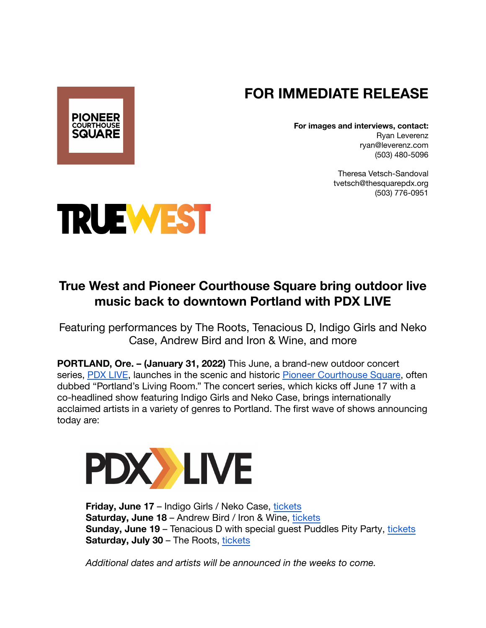## **FOR IMMEDIATE RELEASE**

**For images and interviews, contact:** Ryan Leverenz ryan@leverenz.com (503) 480-5096

> Theresa Vetsch-Sandoval tvetsch@thesquarepdx.org (503) 776-0951



**PIONEER COURTHOUSE SQUARE** 

## **True West and Pioneer Courthouse Square bring outdoor live music back to downtown Portland with PDX LIVE**

Featuring performances by The Roots, Tenacious D, Indigo Girls and Neko Case, Andrew Bird and Iron & Wine, and more

**PORTLAND, Ore. – (January 31, 2022)** This June, a brand-new outdoor concert series, [PDX LIVE](http://pdx-live.com/), launches in the scenic and historic [Pioneer Courthouse Square,](https://thesquarepdx.org/) often dubbed "Portland's Living Room." The concert series, which kicks off June 17 with a co-headlined show featuring Indigo Girls and Neko Case, brings internationally acclaimed artists in a variety of genres to Portland. The first wave of shows announcing today are:



**Friday, June 17** – Indigo Girls / Neko Case, [tickets](https://www.etix.com/ticket/p/6779527/indigo-girls-neko-case-portland-pioneer-courthouse-square) **Saturday, June 18** – Andrew Bird / Iron & Wine, [tickets](https://www.etix.com/ticket/p/3132378/andrew-bird-iron-and-wine-portland-pioneer-courthouse-square) **Sunday, June 19** – Tenacious D with special guest Puddles Pity Party, [tickets](https://www.etix.com/ticket/p/6456006/tenacious-d-portland-pioneer-courthouse-square)  **Saturday, July 30** – The Roots, [tickets](https://www.etix.com/ticket/p/3091571/the-roots-portland-pioneer-courthouse-square)

*Additional dates and artists will be announced in the weeks to come.*